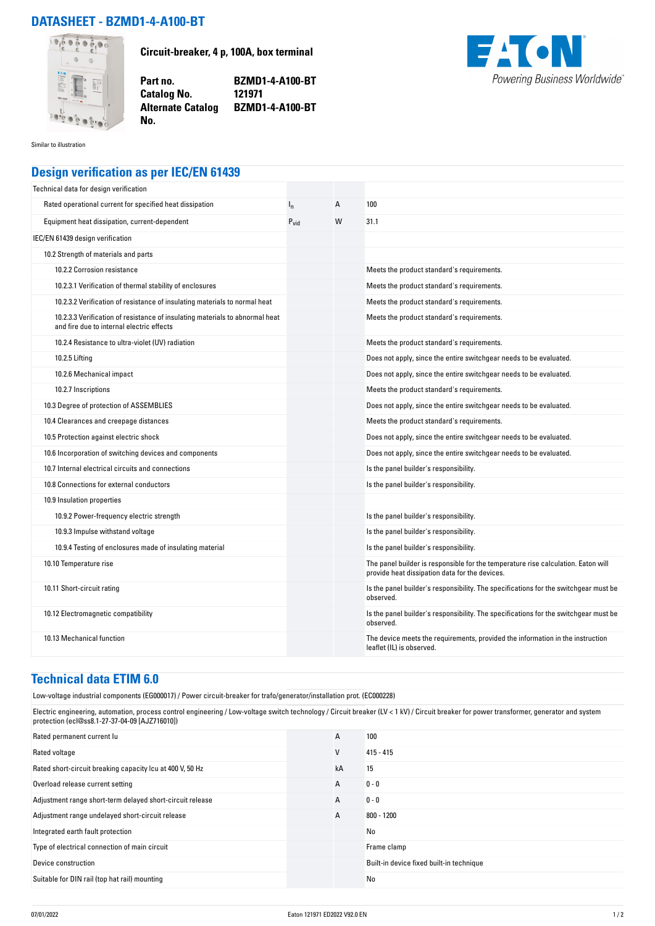## **DATASHEET - BZMD1-4-A100-BT**



**Circuit-breaker, 4 p, 100A, box terminal**

**Part no. BZMD1-4-A100-BT Alternate Catalog BZMD1-4-A100-BT**



Similar to illustration

## **Design verification as per IEC/EN 61439**

**No.** 

**Catalog No.** 

| Technical data for design verification                                                                                    |                  |   |                                                                                                                                     |
|---------------------------------------------------------------------------------------------------------------------------|------------------|---|-------------------------------------------------------------------------------------------------------------------------------------|
| Rated operational current for specified heat dissipation                                                                  | $I_{n}$          | A | 100                                                                                                                                 |
| Equipment heat dissipation, current-dependent                                                                             | $P_{\text{vid}}$ | W | 31.1                                                                                                                                |
| IEC/EN 61439 design verification                                                                                          |                  |   |                                                                                                                                     |
| 10.2 Strength of materials and parts                                                                                      |                  |   |                                                                                                                                     |
| 10.2.2 Corrosion resistance                                                                                               |                  |   | Meets the product standard's requirements.                                                                                          |
| 10.2.3.1 Verification of thermal stability of enclosures                                                                  |                  |   | Meets the product standard's requirements.                                                                                          |
| 10.2.3.2 Verification of resistance of insulating materials to normal heat                                                |                  |   | Meets the product standard's requirements.                                                                                          |
| 10.2.3.3 Verification of resistance of insulating materials to abnormal heat<br>and fire due to internal electric effects |                  |   | Meets the product standard's requirements.                                                                                          |
| 10.2.4 Resistance to ultra-violet (UV) radiation                                                                          |                  |   | Meets the product standard's requirements.                                                                                          |
| 10.2.5 Lifting                                                                                                            |                  |   | Does not apply, since the entire switchgear needs to be evaluated.                                                                  |
| 10.2.6 Mechanical impact                                                                                                  |                  |   | Does not apply, since the entire switchgear needs to be evaluated.                                                                  |
| 10.2.7 Inscriptions                                                                                                       |                  |   | Meets the product standard's requirements.                                                                                          |
| 10.3 Degree of protection of ASSEMBLIES                                                                                   |                  |   | Does not apply, since the entire switchgear needs to be evaluated.                                                                  |
| 10.4 Clearances and creepage distances                                                                                    |                  |   | Meets the product standard's requirements.                                                                                          |
| 10.5 Protection against electric shock                                                                                    |                  |   | Does not apply, since the entire switchgear needs to be evaluated.                                                                  |
| 10.6 Incorporation of switching devices and components                                                                    |                  |   | Does not apply, since the entire switchgear needs to be evaluated.                                                                  |
| 10.7 Internal electrical circuits and connections                                                                         |                  |   | Is the panel builder's responsibility.                                                                                              |
| 10.8 Connections for external conductors                                                                                  |                  |   | Is the panel builder's responsibility.                                                                                              |
| 10.9 Insulation properties                                                                                                |                  |   |                                                                                                                                     |
| 10.9.2 Power-frequency electric strength                                                                                  |                  |   | Is the panel builder's responsibility.                                                                                              |
| 10.9.3 Impulse withstand voltage                                                                                          |                  |   | Is the panel builder's responsibility.                                                                                              |
| 10.9.4 Testing of enclosures made of insulating material                                                                  |                  |   | Is the panel builder's responsibility.                                                                                              |
| 10.10 Temperature rise                                                                                                    |                  |   | The panel builder is responsible for the temperature rise calculation. Eaton will<br>provide heat dissipation data for the devices. |
| 10.11 Short-circuit rating                                                                                                |                  |   | Is the panel builder's responsibility. The specifications for the switchgear must be<br>observed.                                   |
| 10.12 Electromagnetic compatibility                                                                                       |                  |   | Is the panel builder's responsibility. The specifications for the switchgear must be<br>observed.                                   |
| 10.13 Mechanical function                                                                                                 |                  |   | The device meets the requirements, provided the information in the instruction<br>leaflet (IL) is observed.                         |

## **Technical data ETIM 6.0**

Low-voltage industrial components (EG000017) / Power circuit-breaker for trafo/generator/installation prot. (EC000228)

Electric engineering, automation, process control engineering / Low-voltage switch technology / Circuit breaker (LV < 1 kV) / Circuit breaker for power transformer, generator and system protection (ecl@ss8.1-27-37-04-09 [AJZ716010])

| Rated permanent current lu                                | A  | 100                                      |
|-----------------------------------------------------------|----|------------------------------------------|
| Rated voltage                                             | ٧  | $415 - 415$                              |
| Rated short-circuit breaking capacity Icu at 400 V, 50 Hz | kA | 15                                       |
| Overload release current setting                          | A  | $0 - 0$                                  |
| Adjustment range short-term delayed short-circuit release | A  | $0 - 0$                                  |
| Adjustment range undelayed short-circuit release          | A  | $800 - 1200$                             |
| Integrated earth fault protection                         |    | No                                       |
| Type of electrical connection of main circuit             |    | Frame clamp                              |
| Device construction                                       |    | Built-in device fixed built-in technique |
| Suitable for DIN rail (top hat rail) mounting             |    | No                                       |